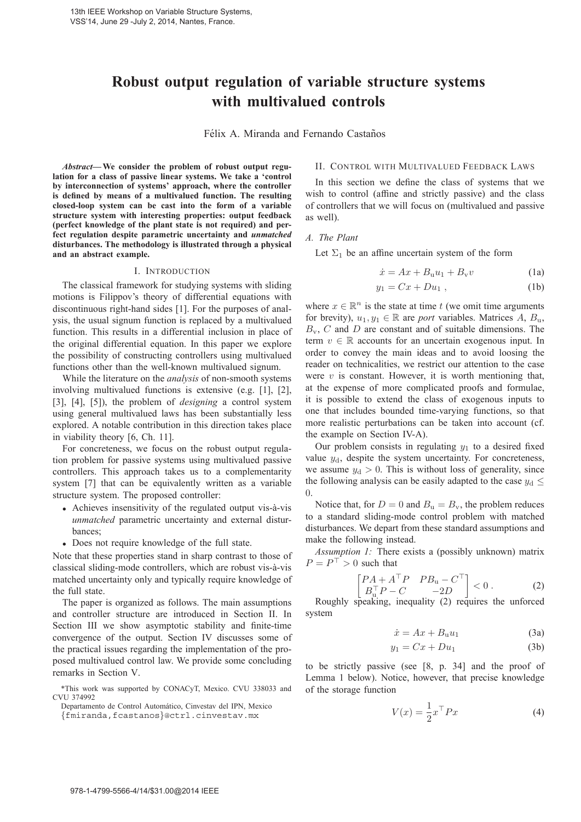# **Robust output regulation of variable structure systems with multivalued controls**

Félix A. Miranda and Fernando Castaños

*Abstract***—We consider the problem of robust output regulation for a class of passive linear systems. We take a 'control by interconnection of systems' approach, where the controller is defined by means of a multivalued function. The resulting closed-loop system can be cast into the form of a variable structure system with interesting properties: output feedback (perfect knowledge of the plant state is not required) and perfect regulation despite parametric uncertainty and** *unmatched* **disturbances. The methodology is illustrated through a physical and an abstract example.**

#### I. INTRODUCTION

The classical framework for studying systems with sliding motions is Filippov's theory of differential equations with discontinuous right-hand sides [1]. For the purposes of analysis, the usual signum function is replaced by a multivalued function. This results in a differential inclusion in place of the original differential equation. In this paper we explore the possibility of constructing controllers using multivalued functions other than the well-known multivalued signum.

While the literature on the *analysis* of non-smooth systems involving multivalued functions is extensive (e.g. [1], [2], [3], [4], [5]), the problem of *designing* a control system using general multivalued laws has been substantially less explored. A notable contribution in this direction takes place in viability theory [6, Ch. 11].

For concreteness, we focus on the robust output regulation problem for passive systems using multivalued passive controllers. This approach takes us to a complementarity system [7] that can be equivalently written as a variable structure system. The proposed controller:

- Achieves insensitivity of the regulated output vis-à-vis *unmatched* parametric uncertainty and external disturbances;
- Does not require knowledge of the full state.

Note that these properties stand in sharp contrast to those of classical sliding-mode controllers, which are robust vis-a-vis ` matched uncertainty only and typically require knowledge of the full state.

The paper is organized as follows. The main assumptions and controller structure are introduced in Section II. In Section III we show asymptotic stability and finite-time convergence of the output. Section IV discusses some of the practical issues regarding the implementation of the proposed multivalued control law. We provide some concluding remarks in Section V.

#### II. CONTROL WITH MULTIVALUED FEEDBACK LAWS

In this section we define the class of systems that we wish to control (affine and strictly passive) and the class of controllers that we will focus on (multivalued and passive as well).

#### *A. The Plant*

Let  $\Sigma_1$  be an affine uncertain system of the form

$$
\dot{x} = Ax + B_u u_1 + B_v v \tag{1a}
$$

$$
y_1 = Cx + Du_1 , \qquad (1b)
$$

where  $x \in \mathbb{R}^n$  is the state at time t (we omit time arguments for brevity),  $u_1, y_1 \in \mathbb{R}$  are *port* variables. Matrices  $A, B_{\mu}$ ,  $B_v$ , C and D are constant and of suitable dimensions. The term  $v \in \mathbb{R}$  accounts for an uncertain exogenous input. In order to convey the main ideas and to avoid loosing the reader on technicalities, we restrict our attention to the case were  $v$  is constant. However, it is worth mentioning that, at the expense of more complicated proofs and formulae, it is possible to extend the class of exogenous inputs to one that includes bounded time-varying functions, so that more realistic perturbations can be taken into account (cf. the example on Section IV-A).

Our problem consists in regulating  $y_1$  to a desired fixed value  $y_d$ , despite the system uncertainty. For concreteness, we assume  $y_d > 0$ . This is without loss of generality, since the following analysis can be easily adapted to the case  $y_d \leq$ 0.

Notice that, for  $D = 0$  and  $B_u = B_v$ , the problem reduces to a standard sliding-mode control problem with matched disturbances. We depart from these standard assumptions and make the following instead.

*Assumption 1:* There exists a (possibly unknown) matrix  $P = P^{\top} > 0$  such that

$$
\begin{bmatrix} PA + A^{\top}P & PB_u - C^{\top} \\ B_u^{\top}P - C & -2D \end{bmatrix} < 0.
$$
 (2)  
speaking inequality (2) requires the unforced

Roughly speaking, inequality (2) requires the unforced system

$$
\dot{x} = Ax + B_u u_1 \tag{3a}
$$

$$
y_1 = Cx + Du_1 \tag{3b}
$$

to be strictly passive (see [8, p. 34] and the proof of Lemma 1 below). Notice, however, that precise knowledge of the storage function

$$
V(x) = \frac{1}{2}x^{\top}Px
$$
 (4)

<sup>\*</sup>This work was supported by CONACyT, Mexico. CVU 338033 and CVU 374992

Departamento de Control Automatico, Cinvestav del IPN, Mexico ´

<sup>{</sup>fmiranda,fcastanos}@ctrl.cinvestav.mx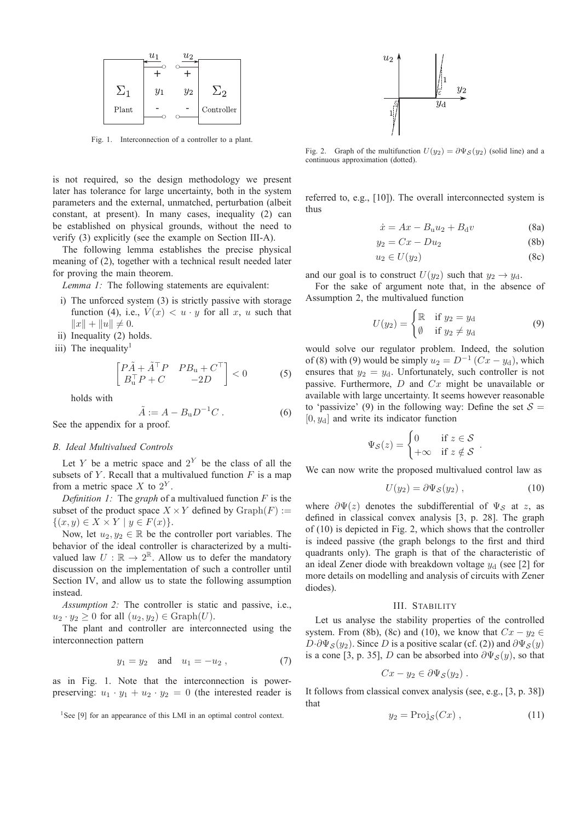

Fig. 1. Interconnection of a controller to a plant.

is not required, so the design methodology we present later has tolerance for large uncertainty, both in the system parameters and the external, unmatched, perturbation (albeit constant, at present). In many cases, inequality (2) can be established on physical grounds, without the need to verify (3) explicitly (see the example on Section III-A).

The following lemma establishes the precise physical meaning of (2), together with a technical result needed later for proving the main theorem.

*Lemma 1:* The following statements are equivalent:

- i) The unforced system (3) is strictly passive with storage function (4), i.e.,  $V(x) < u \cdot y$  for all x, u such that  $||x|| + ||u|| \neq 0.$
- ii) Inequality (2) holds.
- iii) The inequality<sup>1</sup>

$$
\begin{bmatrix} P\tilde{A} + \tilde{A}^{\top}P & PB_{\mathrm{u}} + C^{\top} \\ B_{\mathrm{u}}^{\top}P + C & -2D \end{bmatrix} < 0 \tag{5}
$$

holds with

$$
\tilde{A} := A - B_{\rm u} D^{-1} C . \tag{6}
$$
  
See the appendix for a proof.

## *B. Ideal Multivalued Controls*

Let Y be a metric space and  $2^Y$  be the class of all the subsets of Y. Recall that a multivalued function  $F$  is a map from a metric space  $X$  to  $2^Y$ .

*Definition 1:* The *graph* of a multivalued function F is the subset of the product space  $X \times Y$  defined by  $\text{Graph}(F) :=$  $\{(x,y)\in X\times Y\mid y\in F(x)\}.$ 

Now, let  $u_2, y_2 \in \mathbb{R}$  be the controller port variables. The behavior of the ideal controller is characterized by a multivalued law  $U : \mathbb{R} \to 2^{\mathbb{R}}$ . Allow us to defer the mandatory discussion on the implementation of such a controller until Section IV, and allow us to state the following assumption instead.

*Assumption 2:* The controller is static and passive, i.e.,  $u_2 \cdot y_2 \geq 0$  for all  $(u_2, y_2) \in \text{Graph}(U)$ .

The plant and controller are interconnected using the interconnection pattern

$$
y_1 = y_2
$$
 and  $u_1 = -u_2$ , (7)

as in Fig. 1. Note that the interconnection is powerpreserving:  $u_1 \cdot y_1 + u_2 \cdot y_2 = 0$  (the interested reader is





Fig. 2. Graph of the multifunction  $U(y_2) = \partial \Psi_S(y_2)$  (solid line) and a continuous approximation (dotted).

referred to, e.g., [10]). The overall interconnected system is thus

$$
\dot{x} = Ax - B_{\mathbf{u}}u_2 + B_{\mathbf{d}}v \tag{8a}
$$

$$
y_2 = Cx - Du_2 \tag{8b}
$$

$$
u_2 \in U(y_2) \tag{8c}
$$

and our goal is to construct  $U(y_2)$  such that  $y_2 \rightarrow y_d$ .

For the sake of argument note that, in the absence of Assumption 2, the multivalued function

$$
U(y_2) = \begin{cases} \mathbb{R} & \text{if } y_2 = y_d \\ \emptyset & \text{if } y_2 \neq y_d \end{cases}
$$
 (9)

would solve our regulator problem. Indeed, the solution of (8) with (9) would be simply  $u_2 = D^{-1} (Cx - y_d)$ , which ensures that  $y_2 = y_d$ . Unfortunately, such controller is not passive. Furthermore,  $D$  and  $Cx$  might be unavailable or available with large uncertainty. It seems however reasonable to 'passivize' (9) in the following way: Define the set  $S =$  $[0, y_d]$  and write its indicator function

$$
\Psi_{\mathcal{S}}(z) = \begin{cases} 0 & \text{if } z \in \mathcal{S} \\ +\infty & \text{if } z \notin \mathcal{S} \end{cases}.
$$

We can now write the proposed multivalued control law as

$$
U(y_2) = \partial \Psi_{\mathcal{S}}(y_2) , \qquad (10)
$$

where  $\partial \Psi(z)$  denotes the subdifferential of  $\Psi_{\mathcal{S}}$  at z, as defined in classical convex analysis [3, p. 28]. The graph of (10) is depicted in Fig. 2, which shows that the controller is indeed passive (the graph belongs to the first and third quadrants only). The graph is that of the characteristic of an ideal Zener diode with breakdown voltage  $y_d$  (see [2] for more details on modelling and analysis of circuits with Zener diodes).

#### III. STABILITY

Let us analyse the stability properties of the controlled system. From (8b), (8c) and (10), we know that  $Cx - y_2 \in$  $D \cdot \partial \Psi_{\mathcal{S}}(y_2)$ . Since D is a positive scalar (cf. (2)) and  $\partial \Psi_{\mathcal{S}}(y)$ is a cone [3, p. 35], D can be absorbed into  $\partial \Psi_{\mathcal{S}}(y)$ , so that

$$
Cx - y_2 \in \partial \Psi_{\mathcal{S}}(y_2) .
$$

It follows from classical convex analysis (see, e.g., [3, p. 38]) that

$$
y_2 = \text{Proj}_{\mathcal{S}}(Cx) , \qquad (11)
$$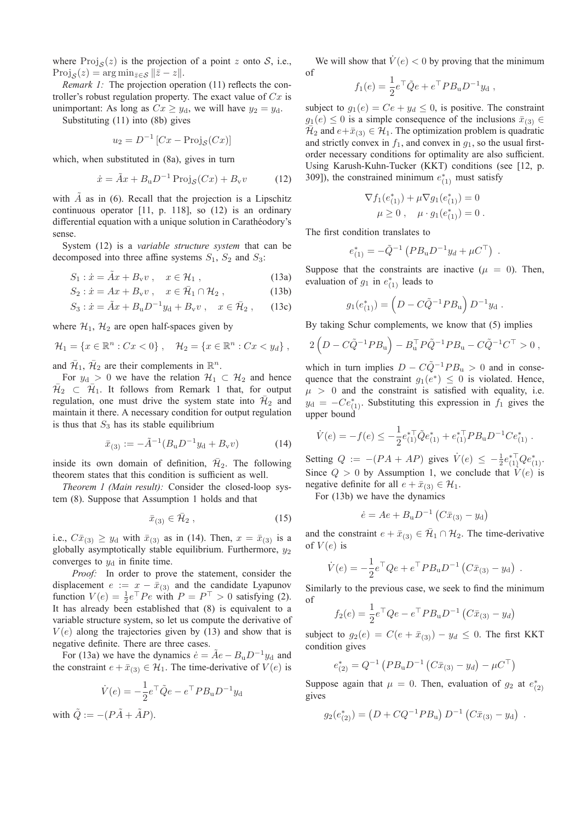where  $Proj_s(z)$  is the projection of a point z onto S, i.e.,  $\text{Proj}_{\mathcal{S}}(z) = \arg \min_{\bar{z} \in \mathcal{S}} ||\bar{z} - z||.$ 

*Remark 1:* The projection operation (11) reflects the controller's robust regulation property. The exact value of  $Cx$  is unimportant: As long as  $Cx \geq y_d$ , we will have  $y_2 = y_d$ .

Substituting (11) into (8b) gives

$$
u_2 = D^{-1} \left[ Cx - \text{Proj}_{\mathcal{S}}(Cx) \right]
$$

which, when substituted in (8a), gives in turn

$$
\dot{x} = \tilde{A}x + B_{\rm u}D^{-1}\operatorname{Proj}_{\mathcal{S}}(Cx) + B_{\rm v}v \tag{12}
$$

with  $A$  as in (6). Recall that the projection is a Lipschitz continuous operator [11, p. 118], so (12) is an ordinary differential equation with a unique solution in Carathéodory's sense.

System (12) is a *variable structure system* that can be decomposed into three affine systems  $S_1$ ,  $S_2$  and  $S_3$ :

$$
S_1: \dot{x} = \dot{A}x + B_v v, \quad x \in \mathcal{H}_1,
$$
\n(13a)

$$
S_2: \dot{x} = Ax + B_v v, \quad x \in \bar{\mathcal{H}}_1 \cap \mathcal{H}_2 , \tag{13b}
$$

$$
S_3: \dot{x} = \tilde{A}x + B_u D^{-1} y_d + B_v v , \quad x \in \bar{\mathcal{H}}_2 , \qquad (13c)
$$

where  $\mathcal{H}_1$ ,  $\mathcal{H}_2$  are open half-spaces given by

$$
\mathcal{H}_1 = \{ x \in \mathbb{R}^n : Cx < 0 \}, \quad \mathcal{H}_2 = \{ x \in \mathbb{R}^n : Cx < y_d \},
$$

and  $\bar{\mathcal{H}}_1$ ,  $\bar{\mathcal{H}}_2$  are their complements in  $\mathbb{R}^n$ .

For  $y_d > 0$  we have the relation  $\mathcal{H}_1 \subset \mathcal{H}_2$  and hence  $\overline{\mathcal{H}}_2 \subset \overline{\mathcal{H}}_1$ . It follows from Remark 1 that, for output regulation, one must drive the system state into  $\bar{\mathcal{H}}_2$  and maintain it there. A necessary condition for output regulation is thus that  $S_3$  has its stable equilibrium

$$
\bar{x}_{(3)} := -\tilde{A}^{-1}(B_{\rm u}D^{-1}y_{\rm d} + B_{\rm v}v) \tag{14}
$$

inside its own domain of definition,  $\bar{H}_2$ . The following theorem states that this condition is sufficient as well.

*Theorem 1 (Main result):* Consider the closed-loop system (8). Suppose that Assumption 1 holds and that

$$
\bar{x}_{(3)} \in \bar{\mathcal{H}}_2 ,\qquad (15)
$$

i.e.,  $C\bar{x}_{(3)} \ge y_d$  with  $\bar{x}_{(3)}$  as in (14). Then,  $x = \bar{x}_{(3)}$  is a globally asymptotically stable equilibrium. Furthermore,  $y_2$ converges to  $y_d$  in finite time.

*Proof:* In order to prove the statement, consider the displacement  $e := x - \bar{x}_{(3)}$  and the candidate Lyapunov<br>function  $V(e) = \frac{1}{2}e^{\top}Pe$  with  $P = P^{\top} \ge 0$  satisfying (2) function  $V(e) = \frac{1}{2}e^{\top}Pe$  with  $P = P^{\top} > 0$  satisfying (2). It has already been established that (8) is equivalent to a variable structure system, so let us compute the derivative of  $V(e)$  along the trajectories given by (13) and show that is negative definite. There are three cases.

For (13a) we have the dynamics  $\dot{e} = \tilde{A}e - B_u D^{-1}y_d$  and the constraint  $e + \bar{x}_{(3)} \in H_1$ . The time-derivative of  $V(e)$  is

$$
\dot{V}(e) = -\frac{1}{2}e^{\top}\tilde{Q}e - e^{\top}PB_{\mathbf{u}}D^{-1}y_{\mathbf{d}}
$$

with  $Q := -(PA + AP)$ .

We will show that  $\dot{V}(e) < 0$  by proving that the minimum of

$$
f_1(e) = \frac{1}{2}e^{\top} \tilde{Q}e + e^{\top} P B_{\rm u} D^{-1} y_{\rm d} ,
$$

subject to  $g_1(e) = Ce + y_d \le 0$ , is positive. The constraint  $g_1(e) \le 0$  is a simple consequence of the inclusions  $\bar{x}(\omega) \in$  $g_1(e) \leq 0$  is a simple consequence of the inclusions  $\bar{x}_{(3)} \in$  $\mathcal{H}_2$  and  $e+\bar{x}_{(3)} \in \mathcal{H}_1$ . The optimization problem is quadratic and strictly convex in  $f_1$ , and convex in  $g_1$ , so the usual firstorder necessary conditions for optimality are also sufficient. Using Karush-Kuhn-Tucker (KKT) conditions (see [12, p. 309]), the constrained minimum  $e_{(1)}^*$  must satisfy

$$
\nabla f_1(e_{(1)}^*) + \mu \nabla g_1(e_{(1)}^*) = 0
$$
  

$$
\mu \ge 0, \quad \mu \cdot g_1(e_{(1)}^*) = 0.
$$

The first condition translates to

$$
e_{(1)}^* = -\tilde{Q}^{-1} \left( PB_u D^{-1} y_d + \mu C^\top \right) .
$$

Suppose that the constraints are inactive ( $\mu = 0$ ). Then, evaluation of  $g_1$  in  $e_{(1)}^*$  leads to

$$
g_1(e_{(1)}^*) = \left(D - C\tilde{Q}^{-1}PB_u\right)D^{-1}y_d.
$$

By taking Schur complements, we know that (5) implies

$$
2\left(D - C\tilde{Q}^{-1}PB_{\mathrm{u}}\right) - B_{\mathrm{u}}^{\top}P\tilde{Q}^{-1}PB_{\mathrm{u}} - C\tilde{Q}^{-1}C^{\top} > 0,
$$

which in turn implies  $D - C\tilde{Q}^{-1}PB_u > 0$  and in consequence that the constraint  $g_1(e^*) \leq 0$  is violated. Hence,  $\mu > 0$  and the constraint is satisfied with equality, i.e.  $y_d = -Ce_{(1)}^*$ . Substituting this expression in  $f_1$  gives the unner bound upper bound

$$
\dot{V}(e) = -f(e) \le -\frac{1}{2} e_{(1)}^{* \top} \tilde{Q} e_{(1)}^{*} + e_{(1)}^{* \top} P B_{\mathbf{u}} D^{-1} C e_{(1)}^{*}.
$$

Setting  $Q := -(PA + AP)$  gives  $\dot{V}(e) \le -\frac{1}{2}e_{(1)}^{*\top}Qe_{(1)}^*$ Since  $Q > 0$  by Assumption 1, we conclude that  $V(e)$  is negative definite for all  $e + \bar{x}_{(3)} \in \mathcal{H}_1$ .

For (13b) we have the dynamics

$$
\dot{e} = Ae + B_{\rm u}D^{-1} (C\bar{x}_{(3)} - y_{\rm d})
$$

and the constraint  $e + \bar{x}_{(3)} \in \bar{\mathcal{H}}_1 \cap \mathcal{H}_2$ . The time-derivative of  $V(e)$  is

$$
\dot{V}(e) = -\frac{1}{2}e^{\top}Qe + e^{\top}PB_{\rm u}D^{-1}(C\bar{x}_{(3)} - y_{\rm d})\ .
$$

Similarly to the previous case, we seek to find the minimum of

$$
f_2(e) = \frac{1}{2}e^{\top} Q e - e^{\top} P B_{\mathbf{u}} D^{-1} (C \bar{x}_{(3)} - y_d)
$$

subject to  $g_2(e) = C(e + \bar{x}_{(3)}) - y_d \le 0$ . The first KKT condition gives

$$
e_{(2)}^* = Q^{-1} \left( P B_{\rm u} D^{-1} \left( C \bar{x}_{(3)} - y_d \right) - \mu C^{\top} \right)
$$

Suppose again that  $\mu = 0$ . Then, evaluation of  $g_2$  at  $e_{(2)}^*$ gives

$$
g_2(e_{(2)}^*) = (D + CQ^{-1}PB_u) D^{-1} (C\bar{x}_{(3)} - y_d) .
$$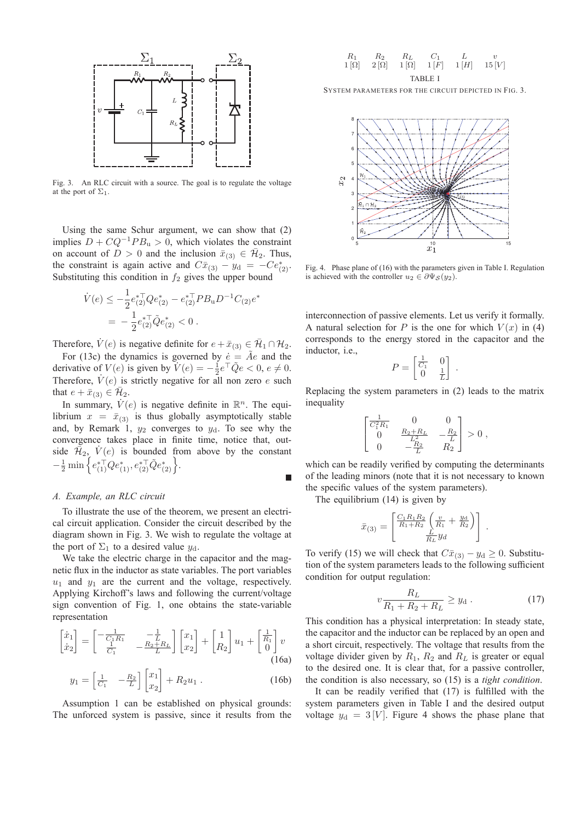

Fig. 3. An RLC circuit with a source. The goal is to regulate the voltage at the port of  $\Sigma_1$ .

Using the same Schur argument, we can show that (2) implies  $D + CQ^{-1}PB_u > 0$ , which violates the constraint on account of  $D > 0$  and the inclusion  $\bar{x}_{(3)} \in \bar{\mathcal{H}}_2$ . Thus, the constraint is again active and  $C\bar{x}_{(3)} - y_d = -Ce_{(2)}^*$ .<br>Substituting this condition in  $f_8$  gives the unner bound Substituting this condition in  $f_2$  gives the upper bound

$$
\dot{V}(e) \le -\frac{1}{2} e_{(2)}^{* \top} Q e_{(2)}^{*} - e_{(2)}^{* \top} P B_{\mathbf{u}} D^{-1} C_{(2)} e^{*}
$$

$$
= -\frac{1}{2} e_{(2)}^{* \top} \tilde{Q} e_{(2)}^{*} < 0.
$$

Therefore,  $V(e)$  is negative definite for  $e + \bar{x}_{(3)} \in \bar{\mathcal{H}}_1 \cap \mathcal{H}_2$ .<br>For (130) the dynamics is governed by  $\dot{a} = \tilde{A}e$  and the For (13c) the dynamics is governed by  $\dot{e} = \tilde{A}e$  and the derivative of  $V(e)$  is given by  $V(e) = -\frac{1}{2}e^{-\frac{1}{2}}\tilde{Q}e < 0, e \neq 0$ .<br>Therefore,  $V(e)$  is strictly peoplive for all non-zero, s such Therefore,  $V(e)$  is strictly negative for all non zero e such that  $e + \bar{x}_{(3)} \in \bar{\mathcal{H}}_2$ .

In summary,  $\dot{V}(e)$  is negative definite in  $\mathbb{R}^n$ . The equilibrium  $x = \bar{x}_{(3)}$  is thus globally asymptotically stable and, by Remark 1,  $y_2$  converges to  $y_d$ . To see why the convergence takes place in finite time, notice that, outside  $\mathcal{H}_2$ ,  $V(e)$  is bounded from above by the constant  $-\frac{1}{2}\min\Big\{e_{(1)}^{*\top}Qe_{(1)}^*,e_{(2)}^{*\top}\tilde{Q}e_{(2)}^*\Big\}.$ 

## *A. Example, an RLC circuit*

To illustrate the use of the theorem, we present an electrical circuit application. Consider the circuit described by the diagram shown in Fig. 3. We wish to regulate the voltage at the port of  $\Sigma_1$  to a desired value  $y_d$ .

We take the electric charge in the capacitor and the magnetic flux in the inductor as state variables. The port variables  $u_1$  and  $y_1$  are the current and the voltage, respectively. Applying Kirchoff's laws and following the current/voltage sign convention of Fig. 1, one obtains the state-variable representation

$$
\begin{bmatrix} \dot{x}_1 \\ \dot{x}_2 \end{bmatrix} = \begin{bmatrix} -\frac{1}{C_1 R_1} & -\frac{1}{L} \\ \frac{1}{C_1} & -\frac{R_2 + R_L}{L} \end{bmatrix} \begin{bmatrix} x_1 \\ x_2 \end{bmatrix} + \begin{bmatrix} 1 \\ R_2 \end{bmatrix} u_1 + \begin{bmatrix} \frac{1}{R_1} \\ 0 \end{bmatrix} v
$$
\n(16a)

$$
y_1 = \begin{bmatrix} \frac{1}{C_1} & -\frac{R_2}{L} \end{bmatrix} \begin{bmatrix} x_1 \\ x_2 \end{bmatrix} + R_2 u_1 \,. \tag{16b}
$$

Assumption 1 can be established on physical grounds: The unforced system is passive, since it results from the

$$
\begin{array}{cccc} R_1 & R_2 & R_L & C_1 & L & v \\ 1\left[ \Omega \right] & 2\left[ \Omega \right] & 1\left[ \Omega \right] & 1\left[ F \right] & 1\left[ H \right] & 15\left[ V \right] \\ & & \text{TABLE I} \end{array}
$$

SYSTEM PARAMETERS FOR THE CIRCUIT DEPICTED IN FIG. 3.



Fig. 4. Phase plane of (16) with the parameters given in Table I. Regulation is achieved with the controller  $u_2 \in \partial \Psi_{\mathcal{S}}(y_2)$ .

interconnection of passive elements. Let us verify it formally. A natural selection for P is the one for which  $V(x)$  in (4) corresponds to the energy stored in the capacitor and the inductor, i.e.,

$$
P = \begin{bmatrix} \frac{1}{C_1} & 0\\ 0 & \frac{1}{L} \end{bmatrix}.
$$

Replacing the system parameters in (2) leads to the matrix inequality

$$
\begin{bmatrix} \frac{1}{C_1^2 R_1} & 0 & 0 \\ 0 & \frac{R_2 + R_L}{L^2} & -\frac{R_2}{L} \\ 0 & -\frac{R_2}{L} & R_2 \end{bmatrix} > 0 \; ,
$$

which can be readily verified by computing the determinants of the leading minors (note that it is not necessary to known the specific values of the system parameters).

The equilibrium (14) is given by

г

$$
\bar{x}_{(3)} = \begin{bmatrix} \frac{C_1 R_1 R_2}{R_1 + R_2} \left( \frac{v}{R_1} + \frac{y_d}{R_2} \right) \\ \frac{L}{R_L} y_d \end{bmatrix} .
$$

To verify (15) we will check that  $C\bar{x}_{(3)} - y_d \ge 0$ . Substitution of the system parameters leads to the following sufficient condition for output regulation:

$$
v\frac{R_L}{R_1 + R_2 + R_L} \ge y_d \tag{17}
$$

This condition has a physical interpretation: In steady state, the capacitor and the inductor can be replaced by an open and a short circuit, respectively. The voltage that results from the voltage divider given by  $R_1$ ,  $R_2$  and  $R_L$  is greater or equal to the desired one. It is clear that, for a passive controller, the condition is also necessary, so (15) is a *tight condition*.

It can be readily verified that (17) is fulfilled with the system parameters given in Table I and the desired output voltage  $y_d = 3[V]$ . Figure 4 shows the phase plane that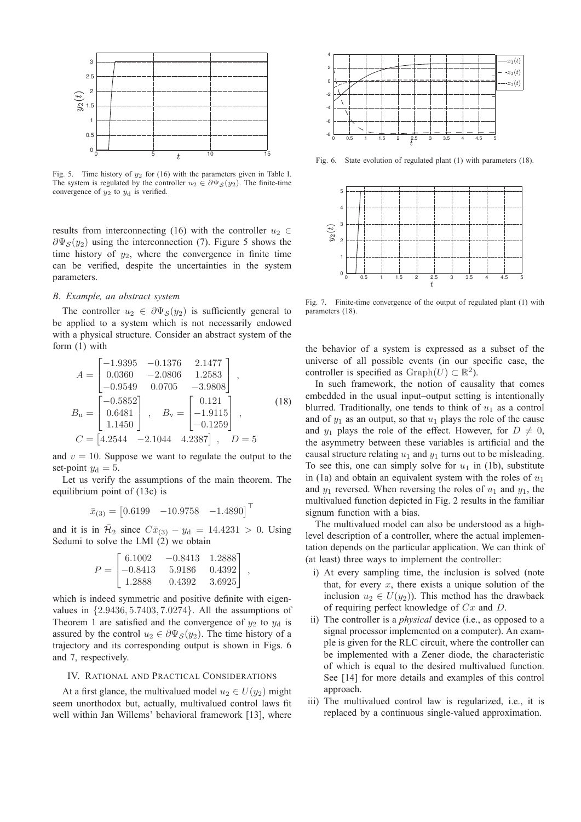

Fig. 5. Time history of  $y_2$  for (16) with the parameters given in Table I. The system is regulated by the controller  $u_2 \in \partial \Psi_{\mathcal{S}}(y_2)$ . The finite-time convergence of  $y_2$  to  $y_d$  is verified.

results from interconnecting (16) with the controller  $u_2 \in$  $\partial \Psi_{\mathcal{S}}(y_2)$  using the interconnection (7). Figure 5 shows the time history of  $y_2$ , where the convergence in finite time can be verified, despite the uncertainties in the system parameters.

## *B. Example, an abstract system*

The controller  $u_2 \in \partial \Psi_{\mathcal{S}}(y_2)$  is sufficiently general to be applied to a system which is not necessarily endowed with a physical structure. Consider an abstract system of the form (1) with

$$
A = \begin{bmatrix} -1.9395 & -0.1376 & 2.1477 \\ 0.0360 & -2.0806 & 1.2583 \\ -0.9549 & 0.0705 & -3.9808 \end{bmatrix},
$$
  
\n
$$
B_{\rm u} = \begin{bmatrix} -0.5852 \\ 0.6481 \\ 1.1450 \end{bmatrix}, \quad B_{\rm v} = \begin{bmatrix} 0.121 \\ -1.9115 \\ -0.1259 \end{bmatrix},
$$
  
\n
$$
C = \begin{bmatrix} 4.2544 & -2.1044 & 4.2387 \end{bmatrix}, \quad D = 5
$$

and  $v = 10$ . Suppose we want to regulate the output to the set-point  $y_d = 5$ .

Let us verify the assumptions of the main theorem. The equilibrium point of (13c) is

$$
\bar{x}_{(3)} = [0.6199 \quad -10.9758 \quad -1.4890]^\top
$$

and it is in  $\bar{\mathcal{H}}_2$  since  $C\bar{x}_{(3)} - y_d = 14.4231 > 0$ . Using Sedumi to solve the LMI (2) we obtain

$$
P = \begin{bmatrix} 6.1002 & -0.8413 & 1.2888 \\ -0.8413 & 5.9186 & 0.4392 \\ 1.2888 & 0.4392 & 3.6925 \end{bmatrix},
$$

which is indeed symmetric and positive definite with eigenvalues in {2.9436, 5.7403, 7.0274}. All the assumptions of Theorem 1 are satisfied and the convergence of  $y_2$  to  $y_d$  is assured by the control  $u_2 \in \partial \Psi_{\mathcal{S}}(y_2)$ . The time history of a trajectory and its corresponding output is shown in Figs. 6 and 7, respectively.

## IV. RATIONAL AND PRACTICAL CONSIDERATIONS

At a first glance, the multivalued model  $u_2 \in U(y_2)$  might seem unorthodox but, actually, multivalued control laws fit well within Jan Willems' behavioral framework [13], where



Fig. 6. State evolution of regulated plant (1) with parameters (18).



Fig. 7. Finite-time convergence of the output of regulated plant (1) with parameters (18).

the behavior of a system is expressed as a subset of the universe of all possible events (in our specific case, the controller is specified as  $Graph(U) \subset \mathbb{R}^2$ .

In such framework, the notion of causality that comes embedded in the usual input–output setting is intentionally blurred. Traditionally, one tends to think of  $u_1$  as a control and of  $y_1$  as an output, so that  $u_1$  plays the role of the cause and  $y_1$  plays the role of the effect. However, for  $D \neq 0$ , the asymmetry between these variables is artificial and the causal structure relating  $u_1$  and  $y_1$  turns out to be misleading. To see this, one can simply solve for  $u_1$  in (1b), substitute in (1a) and obtain an equivalent system with the roles of  $u_1$ and  $y_1$  reversed. When reversing the roles of  $u_1$  and  $y_1$ , the multivalued function depicted in Fig. 2 results in the familiar signum function with a bias.

The multivalued model can also be understood as a highlevel description of a controller, where the actual implementation depends on the particular application. We can think of (at least) three ways to implement the controller:

- i) At every sampling time, the inclusion is solved (note that, for every  $x$ , there exists a unique solution of the inclusion  $u_2 \in U(y_2)$ ). This method has the drawback of requiring perfect knowledge of Cx and D.
- ii) The controller is a *physical* device (i.e., as opposed to a signal processor implemented on a computer). An example is given for the RLC circuit, where the controller can be implemented with a Zener diode, the characteristic of which is equal to the desired multivalued function. See [14] for more details and examples of this control approach.
- iii) The multivalued control law is regularized, i.e., it is replaced by a continuous single-valued approximation.